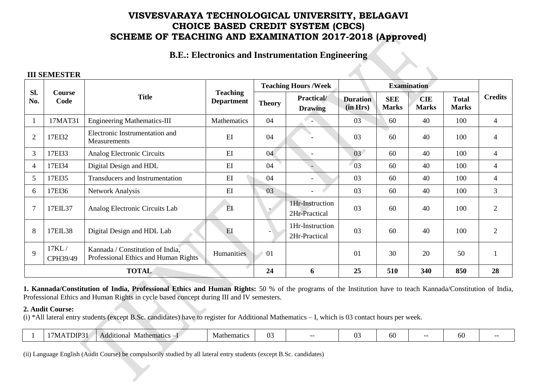**B.E.: Electronics and Instrumentation Engineering**

### **III SEMESTER**

|                |                   |                                                                          |                                      |               | <b>Teaching Hours / Week</b>     |                             |                            | <b>Examination</b>         |                              |                |
|----------------|-------------------|--------------------------------------------------------------------------|--------------------------------------|---------------|----------------------------------|-----------------------------|----------------------------|----------------------------|------------------------------|----------------|
| SI.<br>No.     | Course<br>Code    | <b>Title</b>                                                             | <b>Teaching</b><br><b>Department</b> | <b>Theory</b> | Practical/<br><b>Drawing</b>     | <b>Duration</b><br>(in Hrs) | <b>SEE</b><br><b>Marks</b> | <b>CIE</b><br><b>Marks</b> | <b>Total</b><br><b>Marks</b> | <b>Credits</b> |
|                | 17MAT31           | <b>Engineering Mathematics-III</b>                                       | Mathematics                          | 04            |                                  | 03                          | 60                         | 40                         | 100                          | 4              |
| $\overline{2}$ | 17EI32            | Electronic Instrumentation and<br>Measurements                           | EI                                   | 04            |                                  | 03                          | 60                         | 40                         | 100                          | 4              |
| 3              | 17EI33            | Analog Electronic Circuits                                               | EI                                   | 04            |                                  | 03 <sup>7</sup>             | 60                         | 40                         | 100                          | 4              |
| $\overline{4}$ | 17EI34            | Digital Design and HDL                                                   | EI                                   | 04            |                                  | 03                          | 60                         | 40                         | 100                          | 4              |
| 5              | 17EI35            | Transducers and Instrumentation                                          | EI                                   | 04            |                                  | 03                          | 60                         | 40                         | 100                          | 4              |
| 6              | 17EI36            | <b>Network Analysis</b>                                                  | EI                                   | 03            |                                  | 03                          | 60                         | 40                         | 100                          | $\mathfrak{Z}$ |
|                | 17EIL37           | Analog Electronic Circuits Lab                                           | E <sub>L</sub>                       |               | 1Hr-Instruction<br>2Hr-Practical | 03                          | 60                         | 40                         | 100                          | $\overline{2}$ |
| 8              | 17EIL38           | Digital Design and HDL Lab                                               | EI                                   |               | 1Hr-Instruction<br>2Hr-Practical | 03                          | 60                         | 40                         | 100                          | $\overline{2}$ |
| 9              | 17KL/<br>CPH39/49 | Kannada / Constitution of India,<br>Professional Ethics and Human Rights | Humanities                           | 01            |                                  | 01                          | 30                         | 20                         | 50                           |                |
|                | <b>TOTAL</b>      |                                                                          |                                      |               | 6                                | 25                          | 510                        | 340                        | 850                          | 28             |

**1. Kannada/Constitution of India, Professional Ethics and Human Rights:** 50 % of the programs of the Institution have to teach Kannada/Constitution of India, Professional Ethics and Human Rights in cycle based concept during III and IV semesters.

### **2. Audit Course:**

(i) \*All lateral entry students (except B.Sc. candidates) have to register for Additional Mathematics – I, which is 03 contact hours per week.

|  | DU | . .<br>Mathematics<br>$\sim$ Additions | Mathematics | ັບ | $- -$ | $\sim$<br>11. | 60 | $- -$ | ,,,, |  |
|--|----|----------------------------------------|-------------|----|-------|---------------|----|-------|------|--|
|--|----|----------------------------------------|-------------|----|-------|---------------|----|-------|------|--|

(ii) Language English (Audit Course) be compulsorily studied by all lateral entry students (except B.Sc. candidates)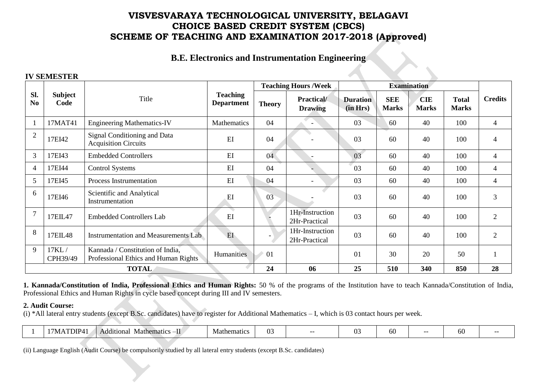## **B.E. Electronics and Instrumentation Engineering**

### **IV SEMESTER**

|                       |                        |                                                                          |                                      |               | <b>Teaching Hours /Week</b>         |                             |                            | <b>Examination</b>         |                              |                |
|-----------------------|------------------------|--------------------------------------------------------------------------|--------------------------------------|---------------|-------------------------------------|-----------------------------|----------------------------|----------------------------|------------------------------|----------------|
| Sl.<br>N <sub>0</sub> | <b>Subject</b><br>Code | Title                                                                    | <b>Teaching</b><br><b>Department</b> | <b>Theory</b> | <b>Practical/</b><br><b>Drawing</b> | <b>Duration</b><br>(in Hrs) | <b>SEE</b><br><b>Marks</b> | <b>CIE</b><br><b>Marks</b> | <b>Total</b><br><b>Marks</b> | <b>Credits</b> |
|                       | 17MAT41                | <b>Engineering Mathematics-IV</b>                                        | Mathematics                          | 04            | $\overline{\phantom{a}}$            | 03                          | 60                         | 40                         | 100                          | $\overline{4}$ |
| $\overline{2}$        | 17EI42                 | Signal Conditioning and Data<br><b>Acquisition Circuits</b>              | EI                                   | 04            |                                     | 03                          | 60                         | 40                         | 100                          | 4              |
| 3                     | 17EI43                 | <b>Embedded Controllers</b>                                              | EI                                   | 04            |                                     | 03                          | 60                         | 40                         | 100                          | 4              |
| 4                     | 17EI44                 | <b>Control Systems</b>                                                   | EI                                   | 04            |                                     | 03                          | 60                         | 40                         | 100                          | 4              |
| 5                     | 17EI45                 | Process Instrumentation                                                  | EI                                   | 04            | $\overline{\phantom{a}}$            | 03                          | 60                         | 40                         | 100                          | $\overline{4}$ |
| 6                     | 17EI46                 | Scientific and Analytical<br>Instrumentation                             | EI                                   | 03            |                                     | 03                          | 60                         | 40                         | 100                          | 3              |
|                       | 17EIL47                | <b>Embedded Controllers Lab</b>                                          | EI                                   |               | 1Hr-Instruction<br>2Hr-Practical    | 03                          | 60                         | 40                         | 100                          | $\overline{2}$ |
| 8                     | 17EIL48                | <b>Instrumentation and Measurements Lab</b>                              | EI                                   |               | 1Hr-Instruction<br>2Hr-Practical    | 03                          | 60                         | 40                         | 100                          | $\overline{2}$ |
| 9                     | 17KL/<br>CPH39/49      | Kannada / Constitution of India,<br>Professional Ethics and Human Rights | Humanities                           | 01            |                                     | 01                          | 30                         | 20                         | 50                           |                |
|                       | <b>TOTAL</b>           |                                                                          |                                      | 24            | 06                                  | 25                          | 510                        | 340                        | 850                          | 28             |

**1. Kannada/Constitution of India, Professional Ethics and Human Rights:** 50 % of the programs of the Institution have to teach Kannada/Constitution of India, Professional Ethics and Human Rights in cycle based concept during III and IV semesters.

### **2. Audit Course:**

(i) \*All lateral entry students (except B.Sc. candidates) have to register for Additional Mathematics – I, which is 03 contact hours per week.

|  | $\mathbf{r}$<br>$.1$ DF $^{\prime}$ | Mathematic.<br>Additional<br>notios | Mathematics | ⌒ <i>⌒</i><br>W. |  |  | ,,,, |  | w |  |  |
|--|-------------------------------------|-------------------------------------|-------------|------------------|--|--|------|--|---|--|--|
|--|-------------------------------------|-------------------------------------|-------------|------------------|--|--|------|--|---|--|--|

(ii) Language English (Audit Course) be compulsorily studied by all lateral entry students (except B.Sc. candidates)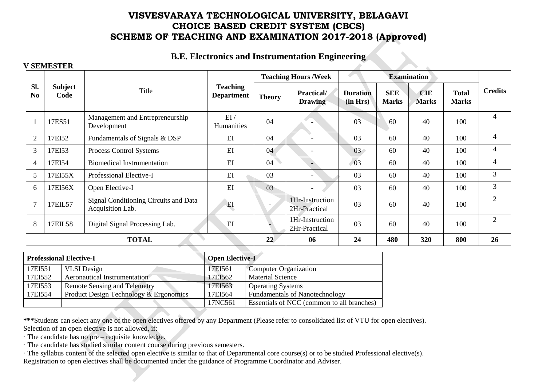## **B.E. Electronics and Instrumentation Engineering**

#### **V SEMESTER**

|                       |                 |                                                           |                                      |               | <b>Teaching Hours / Week</b>     |                             |                            | <b>Examination</b>         |                              |                |
|-----------------------|-----------------|-----------------------------------------------------------|--------------------------------------|---------------|----------------------------------|-----------------------------|----------------------------|----------------------------|------------------------------|----------------|
| Sl.<br>N <sub>0</sub> | Subject<br>Code | Title                                                     | <b>Teaching</b><br><b>Department</b> | <b>Theory</b> | Practical/<br><b>Drawing</b>     | <b>Duration</b><br>(in Hrs) | <b>SEE</b><br><b>Marks</b> | <b>CIE</b><br><b>Marks</b> | <b>Total</b><br><b>Marks</b> | <b>Credits</b> |
|                       | 17ES51          | Management and Entrepreneurship<br>Development            | EI/<br>Humanities                    | 04            |                                  | 03                          | 60                         | 40                         | 100                          | 4              |
| $\overline{2}$        | 17EI52          | Fundamentals of Signals & DSP                             | EI                                   | 04            |                                  | 03                          | 60                         | 40                         | 100                          | $\overline{4}$ |
| 3                     | 17EI53          | Process Control Systems                                   | EI                                   | 04            | $\overline{\phantom{a}}$         | 03                          | 60                         | 40                         | 100                          | 4              |
| 4                     | 17EI54          | <b>Biomedical Instrumentation</b>                         | EI                                   | 04            |                                  | 0 <sup>3</sup>              | 60                         | 40                         | 100                          | 4              |
| 5                     | 17EI55X         | Professional Elective-I                                   | EI                                   | 03            | $\blacksquare$                   | 03                          | 60                         | 40                         | 100                          | 3              |
| 6                     | 17EI56X         | Open Elective-I                                           | EI                                   | 03            | $\blacksquare$                   | 03                          | 60                         | 40                         | 100                          | 3              |
|                       | 17EIL57         | Signal Conditioning Circuits and Data<br>Acquisition Lab. | EI                                   |               | 1Hr-Instruction<br>2Hr-Practical | 03                          | 60                         | 40                         | 100                          | 2              |
| 8                     | 17EIL58         | Digital Signal Processing Lab.                            | EI                                   |               | 1Hr-Instruction<br>2Hr-Practical | 03                          | 60                         | 40                         | 100                          | $\overline{2}$ |
|                       |                 | <b>TOTAL</b>                                              |                                      | 22            | 06                               | 24                          | 480                        | 320                        | 800                          | 26             |

|         | <b>Professional Elective-I</b>         | <b>Open Elective-I</b> |                                            |
|---------|----------------------------------------|------------------------|--------------------------------------------|
| 17EI551 | <b>VLSI</b> Design                     | 17EI561                | <b>Computer Organization</b>               |
| 17EI552 | Aeronautical Instrumentation           | 17EI562                | <b>Material Science</b>                    |
| 17EI553 | <b>Remote Sensing and Telemetry</b>    | 17EI563                | <b>Operating Systems</b>                   |
| 17EI554 | Product Design Technology & Ergonomics | 17EI564                | <b>Fundamentals of Nanotechnology</b>      |
|         |                                        | 17NC561                | Essentials of NCC (common to all branches) |

**\*\*\***Students can select any one of the open electives offered by any Department (Please refer to consolidated list of VTU for open electives). Selection of an open elective is not allowed, if:

· The candidate has no pre – requisite knowledge.

· The candidate has studied similar content course during previous semesters.

· The syllabus content of the selected open elective is similar to that of Departmental core course(s) or to be studied Professional elective(s). Registration to open electives shall be documented under the guidance of Programme Coordinator and Adviser.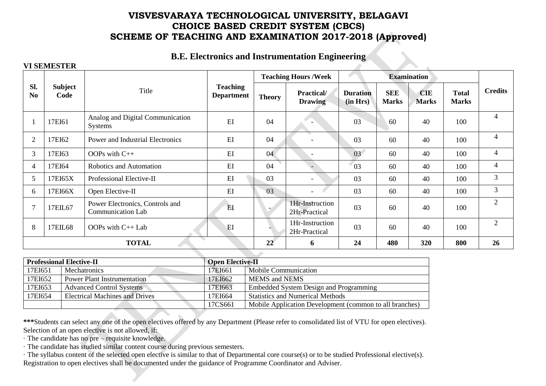## **B.E. Electronics and Instrumentation Engineering**

### **VI SEMESTER**

|                       |                        |                                                             |                                      |               | <b>Teaching Hours /Week</b>      |                             |                            | <b>Examination</b>         |                              |                |
|-----------------------|------------------------|-------------------------------------------------------------|--------------------------------------|---------------|----------------------------------|-----------------------------|----------------------------|----------------------------|------------------------------|----------------|
| Sl.<br>N <sub>0</sub> | <b>Subject</b><br>Code | Title                                                       | <b>Teaching</b><br><b>Department</b> | <b>Theory</b> | Practical/<br><b>Drawing</b>     | <b>Duration</b><br>(in Hrs) | <b>SEE</b><br><b>Marks</b> | <b>CIE</b><br><b>Marks</b> | <b>Total</b><br><b>Marks</b> | <b>Credits</b> |
|                       | 17EI61                 | Analog and Digital Communication<br><b>Systems</b>          | EI                                   | 04            |                                  | 03                          | 60                         | 40                         | 100                          | $\overline{4}$ |
| $\overline{2}$        | 17EI62                 | Power and Industrial Electronics                            | EI                                   | 04            | $\overline{\phantom{a}}$         | 03                          | 60                         | 40                         | 100                          | 4              |
| 3                     | 17EI63                 | OOPs with $C++$                                             | EI                                   | 04            |                                  | 03                          | 60                         | 40                         | 100                          | 4              |
| 4                     | 17EI64                 | Robotics and Automation                                     | EI                                   | 04            |                                  | 03                          | 60                         | 40                         | 100                          | 4              |
| 5                     | 17EI65X                | Professional Elective-II                                    | EI                                   | 03            |                                  | 03                          | 60                         | 40                         | 100                          | 3              |
| 6                     | 17EI66X                | Open Elective-II                                            | EI                                   | 03            |                                  | 03                          | 60                         | 40                         | 100                          | 3              |
| 7                     | 17EIL67                | Power Electronics, Controls and<br><b>Communication Lab</b> | EI                                   | ٠             | 1Hr-Instruction<br>2Hr-Practical | 03                          | 60                         | 40                         | 100                          | $\overline{2}$ |
| 8                     | 17EIL68                | OOPs with $C_{++}$ Lab                                      | EI                                   |               | 1Hr-Instruction<br>2Hr-Practical | 03                          | 60                         | 40                         | 100                          | $\overline{2}$ |
|                       |                        | $\overline{\phantom{a}}$<br><b>TOTAL</b>                    |                                      | 22            | 6                                | 24                          | 480                        | 320                        | 800                          | 26             |
|                       |                        |                                                             |                                      |               |                                  |                             |                            |                            |                              |                |

|         | <b>Professional Elective-II</b>       | <b>Open Elective-II</b> |                                                         |
|---------|---------------------------------------|-------------------------|---------------------------------------------------------|
| 17EI651 | <b>Mechatronics</b>                   | 17EI661                 | Mobile Communication                                    |
| 17EI652 | Power Plant Instrumentation           | 17EI662                 | <b>MEMS</b> and <b>NEMS</b>                             |
| 17EI653 | <b>Advanced Control Systems</b>       | 17EI663                 | Embedded System Design and Programming                  |
| 17EI654 | <b>Electrical Machines and Drives</b> | 17EI664                 | <b>Statistics and Numerical Methods</b>                 |
|         |                                       | 17CS661                 | Mobile Application Development (common to all branches) |

**\*\*\***Students can select any one of the open electives offered by any Department (Please refer to consolidated list of VTU for open electives). Selection of an open elective is not allowed, if:

· The candidate has no pre – requisite knowledge.

· The candidate has studied similar content course during previous semesters.

· The syllabus content of the selected open elective is similar to that of Departmental core course(s) or to be studied Professional elective(s). Registration to open electives shall be documented under the guidance of Programme Coordinator and Adviser.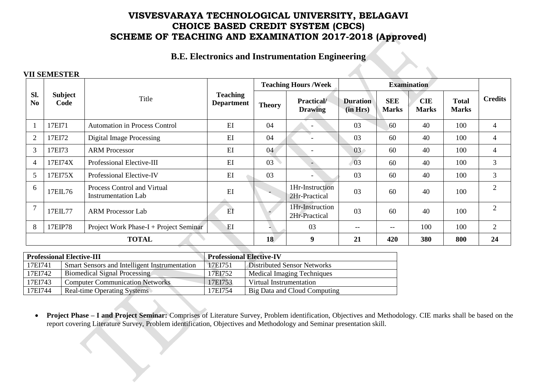**B.E. Electronics and Instrumentation Engineering**

### **VII SEMESTER**

|                 |                        |                                                           |                                      |               | <b>Teaching Hours /Week</b>        |                             |                            | <b>Examination</b>         |                              |                |
|-----------------|------------------------|-----------------------------------------------------------|--------------------------------------|---------------|------------------------------------|-----------------------------|----------------------------|----------------------------|------------------------------|----------------|
| Sl.<br>$\bf No$ | <b>Subject</b><br>Code | Title                                                     | <b>Teaching</b><br><b>Department</b> | <b>Theory</b> | <b>Practical</b><br><b>Drawing</b> | <b>Duration</b><br>(in Hrs) | <b>SEE</b><br><b>Marks</b> | <b>CIE</b><br><b>Marks</b> | <b>Total</b><br><b>Marks</b> | <b>Credits</b> |
|                 | 17EI71                 | <b>Automation in Process Control</b>                      | EI                                   | 04            | $\overline{\phantom{a}}$           | 03                          | 60                         | 40                         | 100                          | 4              |
| $\overline{2}$  | 17EI72                 | <b>Digital Image Processing</b>                           | EI                                   | 04            |                                    | 03                          | 60                         | 40                         | 100                          | 4              |
| 3               | 17EI73                 | <b>ARM</b> Processor                                      | EI                                   | 04            | $\overline{\phantom{a}}$           | 03                          | 60                         | 40                         | 100                          | 4              |
| $\overline{4}$  | 17EI74X                | Professional Elective-III                                 | EI                                   | 03            |                                    | 03                          | 60                         | 40                         | 100                          | 3              |
| 5               | 17EI75X                | Professional Elective-IV                                  | EI                                   | 03            | $\overline{\phantom{a}}$           | 03                          | 60                         | 40                         | 100                          | 3              |
| 6               | 17EIL76                | Process Control and Virtual<br><b>Instrumentation Lab</b> | EI                                   |               | 1Hr-Instruction<br>2Hr-Practical   | 03                          | 60                         | 40                         | 100                          | $\overline{2}$ |
|                 | 17EIL77                | <b>ARM Processor Lab</b>                                  | EI                                   |               | 1Hr-Instruction<br>2Hr-Practical   | 03                          | 60                         | 40                         | 100                          | $\overline{2}$ |
| 8               | 17EIP78                | Project Work Phase-I + Project Seminar                    | EI                                   |               | 03                                 | $- -$                       | $\qquad \qquad -$          | 100                        | 100                          | $\overline{2}$ |
|                 |                        | <b>TOTAL</b>                                              |                                      | 18            | 9                                  | 21                          | 420                        | 380                        | 800                          | 24             |

|         | <b>Professional Elective-III</b>              | <b>Professional Elective-IV</b> |                                    |
|---------|-----------------------------------------------|---------------------------------|------------------------------------|
| 17EI741 | Smart Sensors and Intelligent Instrumentation | 17EI751                         | <b>Distributed Sensor Networks</b> |
| 17EI742 | Biomedical Signal Processing                  | 17EI752                         | Medical Imaging Techniques         |
| 17EI743 | <b>Computer Communication Networks</b>        | 17EI753                         | Virtual Instrumentation            |
| 17EI744 | Real-time Operating Systems                   | 17EI754                         | Big Data and Cloud Computing       |

 **Project Phase – I and Project Seminar:** Comprises of Literature Survey, Problem identification, Objectives and Methodology. CIE marks shall be based on the report covering Literature Survey, Problem identification, Objectives and Methodology and Seminar presentation skill.